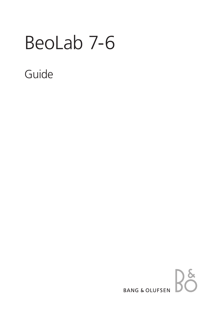# BeoLab 7-6

# Guide

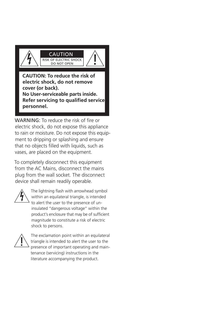

WARNING: To reduce the risk of fire or electric shock, do not expose this appliance to rain or moisture. Do not expose this equipment to dripping or splashing and ensure that no objects filled with liquids, such as vases, are placed on the equipment.

To completely disconnect this equipment from the AC Mains, disconnect the mains plug from the wall socket. The disconnect device shall remain readily operable.



**personnel.**

The lightning flash with arrowhead symbol within an equilateral triangle, is intended to alert the user to the presence of uninsulated "dangerous voltage" within the product's enclosure that may be of sufficient magnitude to constitute a risk of electric shock to persons.



The exclamation point within an equilateral triangle is intended to alert the user to the presence of important operating and maintenance (servicing) instructions in the literature accompanying the product.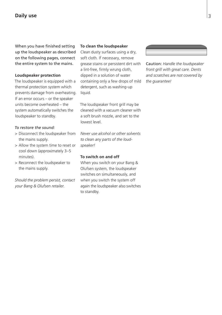# **Daily use**

When you have finished setting up the loudspeaker as described on the following pages, connect the entire system to the mains.

#### **Loudspeaker protection**

The loudspeaker is equipped with a thermal protection system which prevents damage from overheating. If an error occurs – or the speaker units become overheated – the system automatically switches the loudspeaker to standby.

#### *To restore the sound:*

- > Disconnect the loudspeaker from the mains supply.
- > Allow the system time to reset or cool down (approximately 3–5 minutes).
- > Reconnect the loudspeaker to the mains supply.

*Should the problem persist, contact your Bang & Olufsen retailer.* 

#### **To clean the loudspeaker**

Clean dusty surfaces using a dry, soft cloth. If necessary, remove grease stains or persistent dirt with a lint-free, firmly wrung cloth, dipped in a solution of water containing only a few drops of mild detergent, such as washing-up liquid.

The loudspeaker front grill may be cleaned with a vacuum cleaner with a soft brush nozzle, and set to the lowest level.

*Never use alcohol or other solvents to clean any parts of the loudspeaker!* 

#### **To switch on and off**

When you switch on your Bang & Olufsen system, the loudspeaker switches on simultaneously, and when you switch the system off again the loudspeaker also switches to standby.

Caution: *Handle the loudspeaker* 

*front grill with great care. Dents and scratches are not covered by the guarantee!*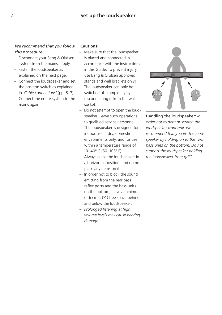# **Set up the loudspeaker**

### *We recommend that you follow this procedure:*

- Disconnect your Bang & Olufsen system from the mains supply.
- Fasten the loudspeaker as explained on the next page.
- Connect the loudspeaker and set the position switch as explained in *'Cable connections'* (pp. 6–7).
- Connect the entire system to the mains again.

#### **Cautions!**

- Make sure that the loudspeaker is placed and connected in accordance with the instructions in this Guide. To prevent injury, use Bang & Olufsen approved stands and wall brackets only!
- The loudspeaker can only be switched off completely by disconnecting it from the wall socket.
- Do not attempt to open the loudspeaker. Leave such operations to qualified service personnel!
- The loudspeaker is designed for indoor use in dry, domestic environments only, and for use within a temperature range of 10–40º C (50–105º F).
- Always place the loudspeaker in a horizontal position, and do not place any items on it.
- In order not to block the sound emitting from the rear bass reflex ports and the bass units on the bottom, leave a minimum of 6 cm (2½") free space behind and below the loudspeaker.
- *Prolonged listening at high volume levels may cause hearing damage!*



Handling the loudspeaker: *In order not to dent or scratch the loudspeaker front grill, we recommend that you lift the loudspeaker by holding on to the two bass units on the bottom. Do not support the loudspeaker holding the loudspeaker front grill!*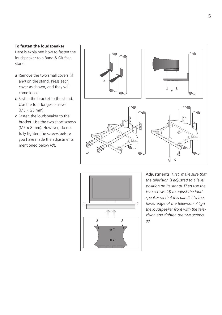#### **To fasten the loudspeaker**

Here is explained how to fasten the loudspeaker to a Bang & Olufsen stand.

- *a* Remove the two small covers (if any) on the stand. Press each cover as shown, and they will come loose.
- *b* Fasten the bracket to the stand. Use the four longest screws (M5 × 25 mm).
- *c* Fasten the loudspeaker to the bracket. Use the two short screws (M5 × 8 mm). However, do not fully tighten the screws before you have made the adjustments mentioned below (*d*).





Adjustments: *First, make sure that the television is adjusted to a level position on its stand! Then use the two screws (d) to adjust the loudspeaker so that it is parallel to the lower edge of the television. Align the loudspeaker front with the television and tighten the two screws (c).*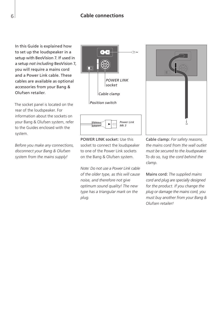In this Guide is explained how to set up the loudspeaker in a setup with BeoVision 7. If used in a setup *not including* BeoVision 7, you will require a mains cord and a Power Link cable. These cables are available as optional accessories from your Bang & Olufsen retailer.

The socket panel is located on the rear of the loudspeaker. For information about the sockets on your Bang & Olufsen system, refer to the Guides enclosed with the system.

*Before you make any connections, disconnect your Bang & Olufsen system from the mains supply!* 



POWER LINK socket: Use this socket to connect the loudspeaker to one of the Power Link sockets on the Bang & Olufsen system.

*Note: Do not use a Power Link cable of the older type, as this will cause noise, and therefore not give optimum sound quality! The new type has a triangular mark on the plug.* 



Mains cord: *The supplied mains cord and plug are specially designed for the product. If you change the plug or damage the mains cord, you must buy another from your Bang & Olufsen retailer!* 

6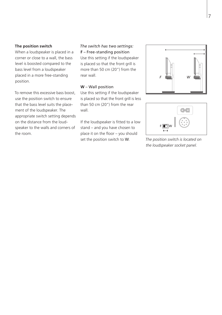#### **The position switch**

When a loudspeaker is placed in a corner or close to a wall, the bass level is boosted compared to the bass level from a loudspeaker placed in a more free-standing position.

To remove this excessive bass boost, use the position switch to ensure that the bass level suits the placement of the loudspeaker. The appropriate switch setting depends on the distance from the loudspeaker to the walls and corners of the room.

# *The switch has two settings:*  **F** – Free-standing position

Use this setting if the loudspeaker is placed so that the front grill is more than 50 cm (20") from the rear wall.

#### **W** – Wall position

Use this setting if the loudspeaker is placed so that the front grill is less than 50 cm (20") from the rear wall.

If the loudspeaker is fitted to a low stand – and you have chosen to place it on the floor – you should set the position switch to W. *The position switch is located on* 





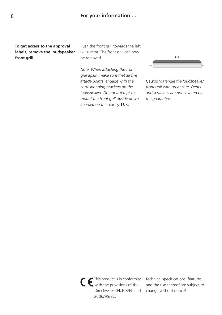**To get access to the approval labels, remove the loudspeaker front grill** 

Push the front grill towards the left (~ 10 mm). The front grill can now be removed.

*Note: When attaching the front grill again, make sure that all five 'attach-points' engage with the corresponding brackets on the loudspeaker. Do not attempt to mount the front grill upside down (marked on the rear by*  $\uparrow$  UP).



Caution: *Handle the loudspeaker front grill with great care. Dents and scratches are not covered by the guarantee!* 

This product is in conformity with the provisions of the Directives 2004/108/EC and 2006/95/EC.

Technical specifications, features and the use thereof are subject to change without notice!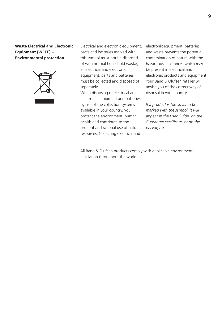## **Waste Electrical and Electronic Equipment (WEEE) – Environmental protection**



Electrical and electronic equipment, parts and batteries marked with this symbol must not be disposed of with normal household wastage; all electrical and electronic equipment, parts and batteries must be collected and disposed of separately.

When disposing of electrical and electronic equipment and batteries by use of the collection systems available in your country, you protect the environment, human health and contribute to the prudent and rational use of natural resources. Collecting electrical and

electronic equipment, batteries and waste prevents the potential contamination of nature with the hazardous substances which may be present in electrical and electronic products and equipment. Your Bang & Olufsen retailer will advise you of the correct way of disposal in your country.

*If a product is too small to be marked with the symbol, it will appear in the User Guide, on the Guarantee certificate, or on the packaging.* 

All Bang & Olufsen products comply with applicable environmental legislation throughout the world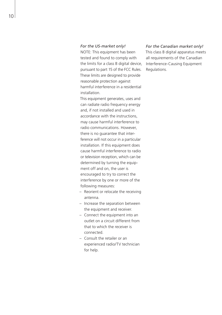#### *For the US-market only!*

NOTE: This equipment has been tested and found to comply with the limits for a class B digital device, pursuant to part 15 of the FCC Rules. These limits are designed to provide reasonable protection against harmful interference in a residential installation.

This equipment generates, uses and can radiate radio frequency energy and, if not installed and used in accordance with the instructions, may cause harmful interference to radio communications. However, there is no guarantee that interference will not occur in a particular installation. If this equipment does cause harmful interference to radio or television reception, which can be determined by turning the equipment off and on, the user is encouraged to try to correct the interference by one or more of the following measures:

- Reorient or relocate the receiving antenna.
- Increase the separation between the equipment and receiver.
- Connect the equipment into an outlet on a circuit different from that to which the receiver is connected.
- Consult the retailer or an experienced radio/TV technician for help.

#### *For the Canadian market only!*

This class B digital apparatus meets all requirements of the Canadian Interference-Causing Equipment Regulations.